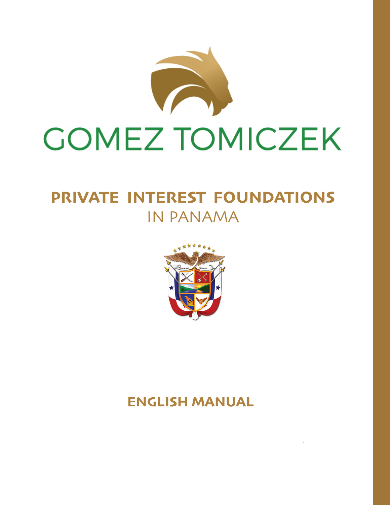

### **PRIVATE INTEREST FOUNDATIONS** IN PANAMA



### **ENGLISH MANUAL**

 $\sim 10^{11}$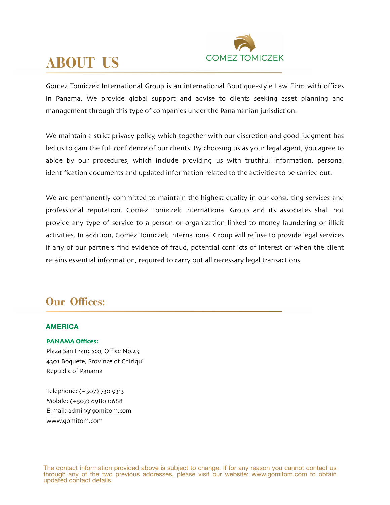

### **ABOUT US**

Gomez Tomiczek International Group is an international Boutique-style Law Firm with offices in Panama. We provide global support and advise to clients seeking asset planning and management through this type of companies under the Panamanian jurisdiction.

We maintain a strict privacy policy, which together with our discretion and good judgment has led us to gain the full confidence of our clients. By choosing us as your legal agent, you agree to abide by our procedures, which include providing us with truthful information, personal identification documents and updated information related to the activities to be carried out.

We are permanently committed to maintain the highest quality in our consulting services and professional reputation. Gomez Tomiczek International Group and its associates shall not provide any type of service to a person or organization linked to money laundering or illicit activities. In addition, Gomez Tomiczek International Group will refuse to provide legal services if any of our partners find evidence of fraud, potential conflicts of interest or when the client retains essential information, required to carry out all necessary legal transactions.

### **Our Offices:**

#### **AMERICA**

#### **PANAMA Offices:**

Plaza San Francisco, Office No.23 4301 Boquete, Province of Chiriquí Republic of Panama

Telephone: (+507) 730 9313 Mobile: (+507) 6980 0688 E-mail: [admin@gomitom](mailto:admin@gomitom.com).com www.[gomitom](http://www.gomitom.com).com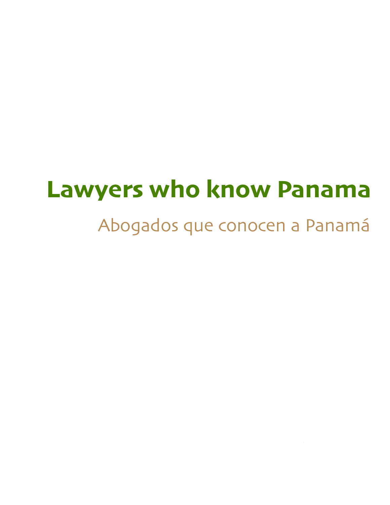# **Lawyers who know Panama**

# Abogados que conocen a Panamá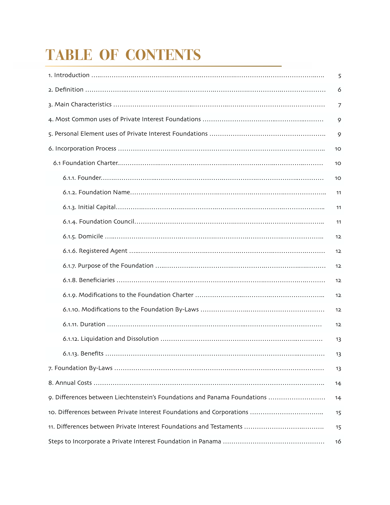# **TABLE OF CONTENTS**

|                                                                           | 5  |
|---------------------------------------------------------------------------|----|
|                                                                           | 6  |
|                                                                           | 7  |
|                                                                           | 9  |
|                                                                           | 9  |
|                                                                           | 10 |
|                                                                           | 10 |
|                                                                           | 10 |
|                                                                           | 11 |
|                                                                           | 11 |
|                                                                           | 11 |
|                                                                           | 12 |
|                                                                           | 12 |
|                                                                           | 12 |
|                                                                           | 12 |
|                                                                           | 12 |
|                                                                           | 12 |
|                                                                           | 12 |
|                                                                           | 13 |
|                                                                           | 13 |
|                                                                           | 13 |
|                                                                           | 14 |
| 9. Differences between Liechtenstein's Foundations and Panama Foundations | 14 |
|                                                                           | 15 |
|                                                                           | 15 |
|                                                                           | 16 |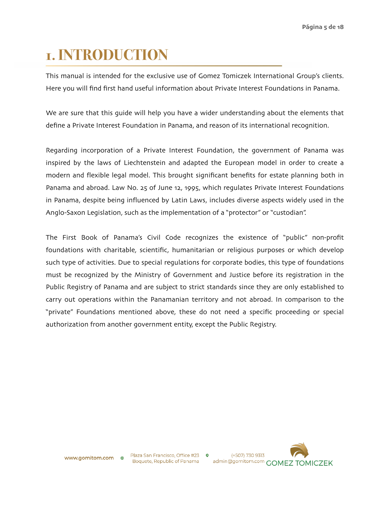### **1. INTRODUCTION**

This manual is intended for the exclusive use of Gomez Tomiczek International Group's clients. Here you will find first hand useful information about Private Interest Foundations in Panama.

We are sure that this guide will help you have a wider understanding about the elements that define a Private Interest Foundation in Panama, and reason of its international recognition.

Regarding incorporation of a Private Interest Foundation, the government of Panama was inspired by the laws of Liechtenstein and adapted the European model in order to create a modern and flexible legal model. This brought significant benefits for estate planning both in Panama and abroad. Law No. 25 of June 12, 1995, which regulates Private Interest Foundations in Panama, despite being influenced by Latin Laws, includes diverse aspects widely used in the Anglo-Saxon Legislation, such as the implementation of a "protector" or "custodian".

The First Book of Panama's Civil Code recognizes the existence of "public" non-profit foundations with charitable, scientific, humanitarian or religious purposes or which develop such type of activities. Due to special regulations for corporate bodies, this type of foundations must be recognized by the Ministry of Government and Justice before its registration in the Public Registry of Panama and are subject to strict standards since they are only established to carry out operations within the Panamanian territory and not abroad. In comparison to the "private" Foundations mentioned above, these do not need a specific proceeding or special authorization from another government entity, except the Public Registry.

Plaza San Francisco, Office #23 0 Boquete, Republic of Panama

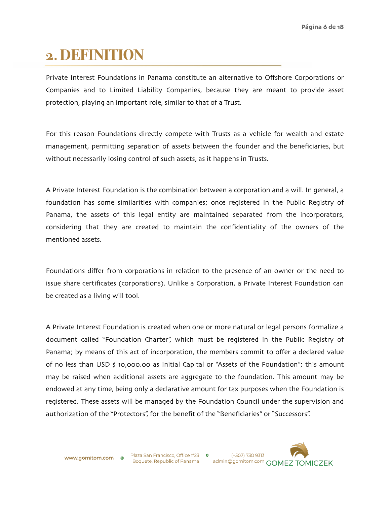### **2. DEFINITION**

Private Interest Foundations in Panama constitute an alternative to Offshore Corporations or Companies and to Limited Liability Companies, because they are meant to provide asset protection, playing an important role, similar to that of a Trust.

For this reason Foundations directly compete with Trusts as a vehicle for wealth and estate management, permitting separation of assets between the founder and the beneficiaries, but without necessarily losing control of such assets, as it happens in Trusts.

A Private Interest Foundation is the combination between a corporation and a will. In general, a foundation has some similarities with companies; once registered in the Public Registry of Panama, the assets of this legal entity are maintained separated from the incorporators, considering that they are created to maintain the confidentiality of the owners of the mentioned assets.

Foundations differ from corporations in relation to the presence of an owner or the need to issue share certificates (corporations). Unlike a Corporation, a Private Interest Foundation can be created as a living will tool.

A Private Interest Foundation is created when one or more natural or legal persons formalize a document called "Foundation Charter", which must be registered in the Public Registry of Panama; by means of this act of incorporation, the members commit to offer a declared value of no less than USD \$ 10,000.00 as Initial Capital or "Assets of the Foundation"; this amount may be raised when additional assets are aggregate to the foundation. This amount may be endowed at any time, being only a declarative amount for tax purposes when the Foundation is registered. These assets will be managed by the Foundation Council under the supervision and authorization of the "Protectors", for the benefit of the "Beneficiaries" or "Successors".

 $\bullet$ 

www.gomitom.com

Plaza San Francisco, Office #23 Boquete, Republic of Panama

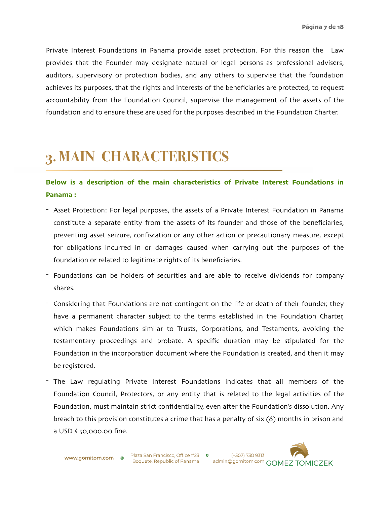Private Interest Foundations in Panama provide asset protection. For this reason the Law provides that the Founder may designate natural or legal persons as professional advisers, auditors, supervisory or protection bodies, and any others to supervise that the foundation achieves its purposes, that the rights and interests of the beneficiaries are protected, to request accountability from the Foundation Council, supervise the management of the assets of the foundation and to ensure these are used for the purposes described in the Foundation Charter.

### **3. MAIN CHARACTERISTICS**

#### **Below is a description of the main characteristics of Private Interest Foundations in Panama :**

- Asset Protection: For legal purposes, the assets of a Private Interest Foundation in Panama constitute a separate entity from the assets of its founder and those of the beneficiaries, preventing asset seizure, confiscation or any other action or precautionary measure, except for obligations incurred in or damages caused when carrying out the purposes of the foundation or related to legitimate rights of its beneficiaries.
- Foundations can be holders of securities and are able to receive dividends for company shares.
- Considering that Foundations are not contingent on the life or death of their founder, they have a permanent character subject to the terms established in the Foundation Charter, which makes Foundations similar to Trusts, Corporations, and Testaments, avoiding the testamentary proceedings and probate. A specific duration may be stipulated for the Foundation in the incorporation document where the Foundation is created, and then it may be registered.
- The Law regulating Private Interest Foundations indicates that all members of the Foundation Council, Protectors, or any entity that is related to the legal activities of the Foundation, must maintain strict confidentiality, even after the Foundation's dissolution. Any breach to this provision constitutes a crime that has a penalty of six (6) months in prison and a USD  $\frac{1}{2}$  50,000.00 fine.

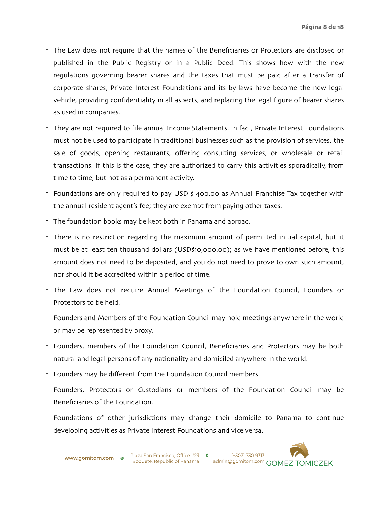- The Law does not require that the names of the Beneficiaries or Protectors are disclosed or published in the Public Registry or in a Public Deed. This shows how with the new regulations governing bearer shares and the taxes that must be paid after a transfer of corporate shares, Private Interest Foundations and its by-laws have become the new legal vehicle, providing confidentiality in all aspects, and replacing the legal figure of bearer shares as used in companies.
- They are not required to file annual Income Statements. In fact, Private Interest Foundations must not be used to participate in traditional businesses such as the provision of services, the sale of goods, opening restaurants, offering consulting services, or wholesale or retail transactions. If this is the case, they are authorized to carry this activities sporadically, from time to time, but not as a permanent activity.
- Foundations are only required to pay USD \$ 400.00 as Annual Franchise Tax together with the annual resident agent's fee; they are exempt from paying other taxes.
- The foundation books may be kept both in Panama and abroad.
- There is no restriction regarding the maximum amount of permitted initial capital, but it must be at least ten thousand dollars (USD\$10,000.00); as we have mentioned before, this amount does not need to be deposited, and you do not need to prove to own such amount, nor should it be accredited within a period of time.
- The Law does not require Annual Meetings of the Foundation Council, Founders or Protectors to be held.
- Founders and Members of the Foundation Council may hold meetings anywhere in the world or may be represented by proxy.
- Founders, members of the Foundation Council, Beneficiaries and Protectors may be both natural and legal persons of any nationality and domiciled anywhere in the world.
- Founders may be different from the Foundation Council members.
- Founders, Protectors or Custodians or members of the Foundation Council may be Beneficiaries of the Foundation.
- Foundations of other jurisdictions may change their domicile to Panama to continue developing activities as Private Interest Foundations and vice versa.

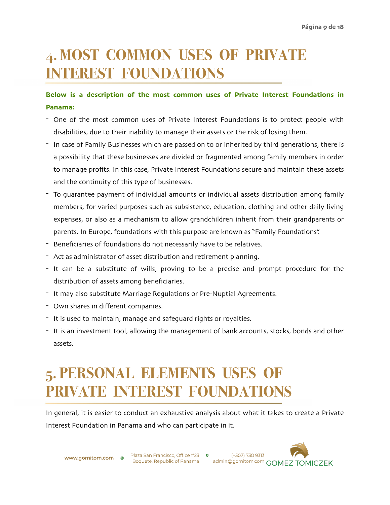### **4. MOST COMMON USES OF PRIVATE INTEREST FOUNDATIONS**

#### **Below is a description of the most common uses of Private Interest Foundations in Panama:**

- One of the most common uses of Private Interest Foundations is to protect people with disabilities, due to their inability to manage their assets or the risk of losing them.
- In case of Family Businesses which are passed on to or inherited by third generations, there is a possibility that these businesses are divided or fragmented among family members in order to manage profits. In this case, Private Interest Foundations secure and maintain these assets and the continuity of this type of businesses.
- To guarantee payment of individual amounts or individual assets distribution among family members, for varied purposes such as subsistence, education, clothing and other daily living expenses, or also as a mechanism to allow grandchildren inherit from their grandparents or parents. In Europe, foundations with this purpose are known as "Family Foundations".
- Beneficiaries of foundations do not necessarily have to be relatives.
- Act as administrator of asset distribution and retirement planning.
- It can be a substitute of wills, proving to be a precise and prompt procedure for the distribution of assets among beneficiaries.
- It may also substitute Marriage Regulations or Pre-Nuptial Agreements.
- Own shares in different companies.
- It is used to maintain, manage and safeguard rights or royalties.
- It is an investment tool, allowing the management of bank accounts, stocks, bonds and other assets.

### **5. PERSONAL ELEMENTS USES OF PRIVATE INTEREST FOUNDATIONS**

In general, it is easier to conduct an exhaustive analysis about what it takes to create a Private Interest Foundation in Panama and who can participate in it.

**www.gomitom.com**  $\oplus$  Plaza San Francisco, Office #23 **0** 

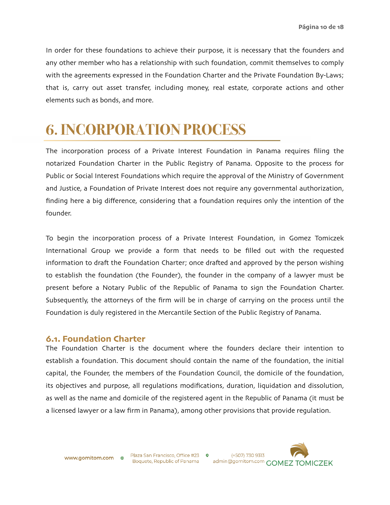In order for these foundations to achieve their purpose, it is necessary that the founders and any other member who has a relationship with such foundation, commit themselves to comply with the agreements expressed in the Foundation Charter and the Private Foundation By-Laws; that is, carry out asset transfer, including money, real estate, corporate actions and other elements such as bonds, and more.

### **6. INCORPORATION PROCESS**

The incorporation process of a Private Interest Foundation in Panama requires filing the notarized Foundation Charter in the Public Registry of Panama. Opposite to the process for Public or Social Interest Foundations which require the approval of the Ministry of Government and Justice, a Foundation of Private Interest does not require any governmental authorization, finding here a big difference, considering that a foundation requires only the intention of the founder.

To begin the incorporation process of a Private Interest Foundation, in Gomez Tomiczek International Group we provide a form that needs to be filled out with the requested information to draft the Foundation Charter; once drafted and approved by the person wishing to establish the foundation (the Founder), the founder in the company of a lawyer must be present before a Notary Public of the Republic of Panama to sign the Foundation Charter. Subsequently, the attorneys of the firm will be in charge of carrying on the process until the Foundation is duly registered in the Mercantile Section of the Public Registry of Panama.

#### **6.1. Foundation Charter**

The Foundation Charter is the document where the founders declare their intention to establish a foundation. This document should contain the name of the foundation, the initial capital, the Founder, the members of the Foundation Council, the domicile of the foundation, its objectives and purpose, all regulations modifications, duration, liquidation and dissolution, as well as the name and domicile of the registered agent in the Republic of Panama (it must be a licensed lawyer or a law firm in Panama), among other provisions that provide regulation.

www.gomitom.com

Plaza San Francisco, Office #23 0 Boquete, Republic of Panama

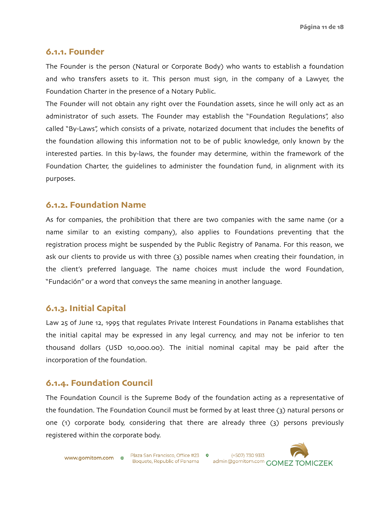#### **6.1.1. Founder**

The Founder is the person (Natural or Corporate Body) who wants to establish a foundation and who transfers assets to it. This person must sign, in the company of a Lawyer, the Foundation Charter in the presence of a Notary Public.

The Founder will not obtain any right over the Foundation assets, since he will only act as an administrator of such assets. The Founder may establish the "Foundation Regulations", also called "By-Laws", which consists of a private, notarized document that includes the benefits of the foundation allowing this information not to be of public knowledge, only known by the interested parties. In this by-laws, the founder may determine, within the framework of the Foundation Charter, the guidelines to administer the foundation fund, in alignment with its purposes.

#### **6.1.2. Foundation Name**

As for companies, the prohibition that there are two companies with the same name (or a name similar to an existing company), also applies to Foundations preventing that the registration process might be suspended by the Public Registry of Panama. For this reason, we ask our clients to provide us with three (3) possible names when creating their foundation, in the client's preferred language. The name choices must include the word Foundation, "Fundación" or a word that conveys the same meaning in another language.

#### **6.1.3. Initial Capital**

Law 25 of June 12, 1995 that regulates Private Interest Foundations in Panama establishes that the initial capital may be expressed in any legal currency, and may not be inferior to ten thousand dollars (USD 10,000.00). The initial nominal capital may be paid after the incorporation of the foundation.

#### **6.1.4. Foundation Council**

The Foundation Council is the Supreme Body of the foundation acting as a representative of the foundation. The Foundation Council must be formed by at least three (3) natural persons or one (1) corporate body, considering that there are already three (3) persons previously registered within the corporate body.

www.gomitom.com ⊕

Plaza San Francisco, Office #23 0 Boquete, Republic of Panama



(+507) 730 9313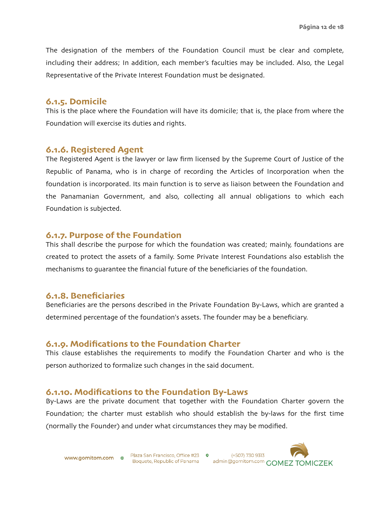The designation of the members of the Foundation Council must be clear and complete, including their address; In addition, each member's faculties may be included. Also, the Legal Representative of the Private Interest Foundation must be designated.

#### **6.1.5. Domicile**

This is the place where the Foundation will have its domicile; that is, the place from where the Foundation will exercise its duties and rights.

#### **6.1.6. Registered Agent**

The Registered Agent is the lawyer or law firm licensed by the Supreme Court of Justice of the Republic of Panama, who is in charge of recording the Articles of Incorporation when the foundation is incorporated. Its main function is to serve as liaison between the Foundation and the Panamanian Government, and also, collecting all annual obligations to which each Foundation is subjected.

#### **6.1.7. Purpose of the Foundation**

This shall describe the purpose for which the foundation was created; mainly, foundations are created to protect the assets of a family. Some Private Interest Foundations also establish the mechanisms to guarantee the financial future of the beneficiaries of the foundation.

#### **6.1.8. Beneficiaries**

Beneficiaries are the persons described in the Private Foundation By-Laws, which are granted a determined percentage of the foundation's assets. The founder may be a beneficiary.

#### **6.1.9. Modifications to the Foundation Charter**

This clause establishes the requirements to modify the Foundation Charter and who is the person authorized to formalize such changes in the said document.

#### **6.1.10. Modifications to the Foundation By-Laws**

By-Laws are the private document that together with the Foundation Charter govern the Foundation; the charter must establish who should establish the by-laws for the first time (normally the Founder) and under what circumstances they may be modified.

**www.gomitom.com**  $\oplus$  Plaza San Francisco, Office #23 **0** Boquete, Republic of Panama

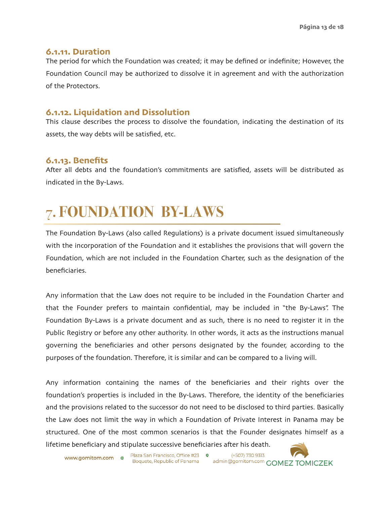#### **6.1.11. Duration**

The period for which the Foundation was created; it may be defined or indefinite; However, the Foundation Council may be authorized to dissolve it in agreement and with the authorization of the Protectors.

#### **6.1.12. Liquidation and Dissolution**

This clause describes the process to dissolve the foundation, indicating the destination of its assets, the way debts will be satisfied, etc.

#### **6.1.13. Benefits**

After all debts and the foundation's commitments are satisfied, assets will be distributed as indicated in the By-Laws.

## 7**. FOUNDATION BY-LAWS**

The Foundation By-Laws (also called Regulations) is a private document issued simultaneously with the incorporation of the Foundation and it establishes the provisions that will govern the Foundation, which are not included in the Foundation Charter, such as the designation of the beneficiaries.

Any information that the Law does not require to be included in the Foundation Charter and that the Founder prefers to maintain confidential, may be included in "the By-Laws". The Foundation By-Laws is a private document and as such, there is no need to register it in the Public Registry or before any other authority. In other words, it acts as the instructions manual governing the beneficiaries and other persons designated by the founder, according to the purposes of the foundation. Therefore, it is similar and can be compared to a living will.

Any information containing the names of the beneficiaries and their rights over the foundation's properties is included in the By-Laws. Therefore, the identity of the beneficiaries and the provisions related to the successor do not need to be disclosed to third parties. Basically the Law does not limit the way in which a Foundation of Private Interest in Panama may be structured. One of the most common scenarios is that the Founder designates himself as a lifetime beneficiary and stipulate successive beneficiaries after his death.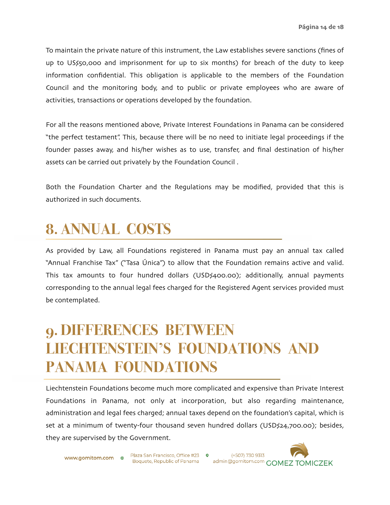To maintain the private nature of this instrument, the Law establishes severe sanctions (fines of up to US\$50,000 and imprisonment for up to six months) for breach of the duty to keep information confidential. This obligation is applicable to the members of the Foundation Council and the monitoring body, and to public or private employees who are aware of activities, transactions or operations developed by the foundation.

For all the reasons mentioned above, Private Interest Foundations in Panama can be considered "the perfect testament". This, because there will be no need to initiate legal proceedings if the founder passes away, and his/her wishes as to use, transfer, and final destination of his/her assets can be carried out privately by the Foundation Council .

Both the Foundation Charter and the Regulations may be modified, provided that this is authorized in such documents.

### **8. ANNUAL COSTS**

As provided by Law, all Foundations registered in Panama must pay an annual tax called "Annual Franchise Tax" ("Tasa Única") to allow that the Foundation remains active and valid. This tax amounts to four hundred dollars (USD\$400.00); additionally, annual payments corresponding to the annual legal fees charged for the Registered Agent services provided must be contemplated.

### **9. DIFFERENCES BETWEEN LIECHTENSTEIN'S FOUNDATIONS AND PANAMA FOUNDATIONS**

Liechtenstein Foundations become much more complicated and expensive than Private Interest Foundations in Panama, not only at incorporation, but also regarding maintenance, administration and legal fees charged; annual taxes depend on the foundation's capital, which is set at a minimum of twenty-four thousand seven hundred dollars (USD\$24,700.00); besides, they are supervised by the Government.

**www.gomitom.com**  $\oplus$  Plaza San Francisco, Office #23 **9** 

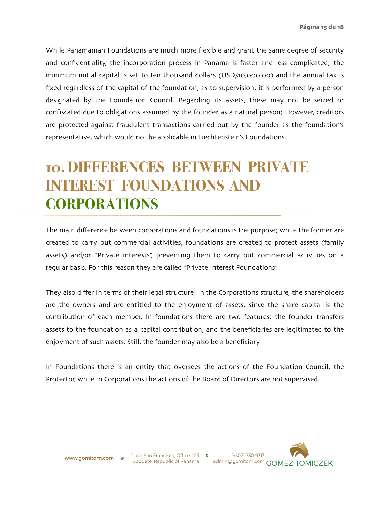While Panamanian Foundations are much more flexible and grant the same degree of security and confidentiality, the incorporation process in Panama is faster and less complicated; the minimum initial capital is set to ten thousand dollars (USD\$10,000.00) and the annual tax is fixed regardless of the capital of the foundation; as to supervision, it is performed by a person designated by the Foundation Council. Regarding its assets, these may not be seized or confiscated due to obligations assumed by the founder as a natural person; However, creditors are protected against fraudulent transactions carried out by the founder as the foundation's representative, which would not be applicable in Liechtenstein's Foundations.

### **10. DIFFERENCES BETWEEN PRIVATE INTEREST FOUNDATIONS AND CORPORATIONS**

The main difference between corporations and foundations is the purpose; while the former are created to carry out commercial activities, foundations are created to protect assets (family assets) and/or "Private interests", preventing them to carry out commercial activities on a regular basis. For this reason they are called "Private Interest Foundations".

They also differ in terms of their legal structure: In the Corporations structure, the shareholders are the owners and are entitled to the enjoyment of assets, since the share capital is the contribution of each member. In foundations there are two features: the founder transfers assets to the foundation as a capital contribution, and the beneficiaries are legitimated to the enjoyment of such assets. Still, the founder may also be a beneficiary.

In Foundations there is an entity that oversees the actions of the Foundation Council, the Protector, while in Corporations the actions of the Board of Directors are not supervised.

www.gomitom.com ⊕

Plaza San Francisco, Office #23 **0** 

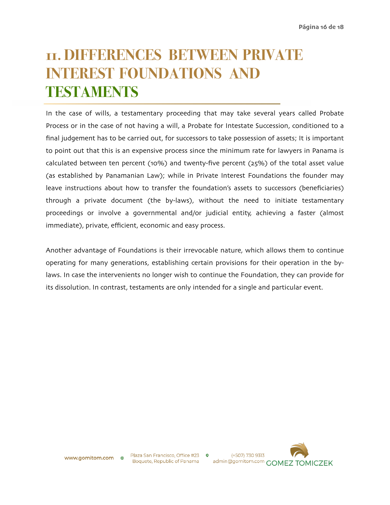### **11. DIFFERENCES BETWEEN PRIVATE INTEREST FOUNDATIONS AND TESTAMENTS**

In the case of wills, a testamentary proceeding that may take several years called Probate Process or in the case of not having a will, a Probate for Intestate Succession, conditioned to a final judgement has to be carried out, for successors to take possession of assets; It is important to point out that this is an expensive process since the minimum rate for lawyers in Panama is calculated between ten percent (10%) and twenty-five percent (25%) of the total asset value (as established by Panamanian Law); while in Private Interest Foundations the founder may leave instructions about how to transfer the foundation's assets to successors (beneficiaries) through a private document (the by-laws), without the need to initiate testamentary proceedings or involve a governmental and/or judicial entity, achieving a faster (almost immediate), private, efficient, economic and easy process.

Another advantage of Foundations is their irrevocable nature, which allows them to continue operating for many generations, establishing certain provisions for their operation in the bylaws. In case the intervenients no longer wish to continue the Foundation, they can provide for its dissolution. In contrast, testaments are only intended for a single and particular event.

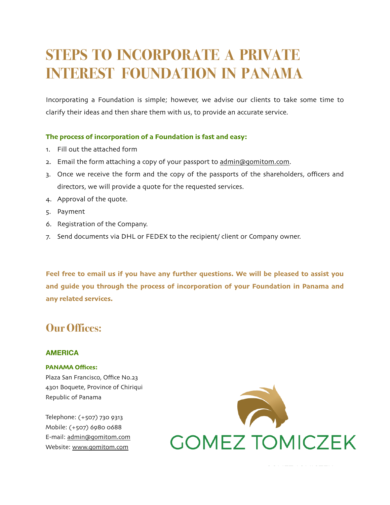### **STEPS TO INCORPORATE A PRIVATE INTEREST FOUNDATION IN PANAMA**

Incorporating a Foundation is simple; however, we advise our clients to take some time to clarify their ideas and then share them with us, to provide an accurate service.

#### **The process of incorporation of a Foundation is fast and easy:**

- 1. Fill out the attached form
- 2. Email the form attaching a copy of your passport to [admin@gomitom](mailto:admin@gomitom.com).com.
- 3. Once we receive the form and the copy of the passports of the shareholders, officers and directors, we will provide a quote for the requested services.
- 4. Approval of the quote.
- 5. Payment
- 6. Registration of the Company.
- 7. Send documents via DHL or FEDEX to the recipient/ client or Company owner.

**Feel free to email us if you have any further questions. We will be pleased to assist you and guide you through the process of incorporation of your Foundation in Panama and any related services.** 

### **Our Offices:**

#### **AMERICA**

#### **PANAMA Offices:**

Plaza San Francisco, Office No.23 4301 Boquete, Province of Chiriqui Republic of Panama

Telephone: (+507) 730 9313 Mobile: (+507) 6980 0688 E-mail: [admin@gomitom](mailto:admin@gomitom.com).com Website: www.[gomitom](http://www.gomitom.com).com